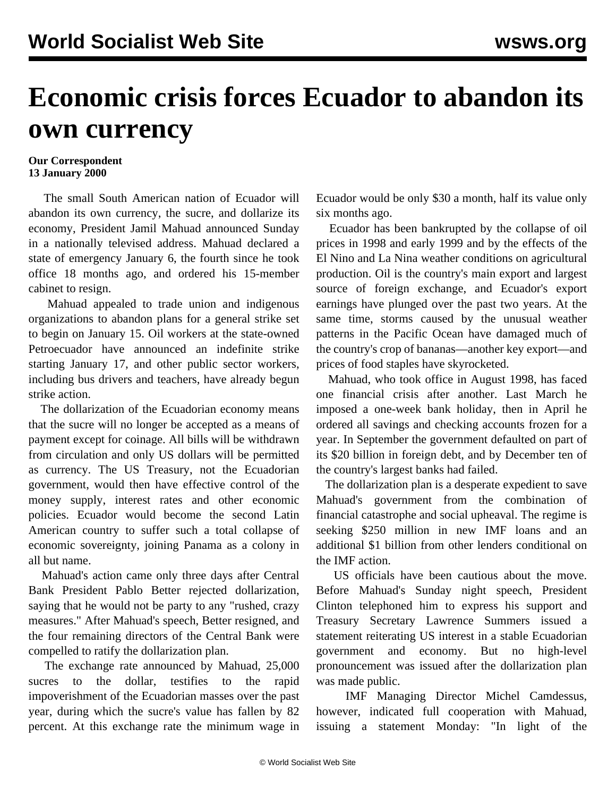## **Economic crisis forces Ecuador to abandon its own currency**

## **Our Correspondent 13 January 2000**

 The small South American nation of Ecuador will abandon its own currency, the sucre, and dollarize its economy, President Jamil Mahuad announced Sunday in a nationally televised address. Mahuad declared a state of emergency January 6, the fourth since he took office 18 months ago, and ordered his 15-member cabinet to resign.

 Mahuad appealed to trade union and indigenous organizations to abandon plans for a general strike set to begin on January 15. Oil workers at the state-owned Petroecuador have announced an indefinite strike starting January 17, and other public sector workers, including bus drivers and teachers, have already begun strike action.

 The dollarization of the Ecuadorian economy means that the sucre will no longer be accepted as a means of payment except for coinage. All bills will be withdrawn from circulation and only US dollars will be permitted as currency. The US Treasury, not the Ecuadorian government, would then have effective control of the money supply, interest rates and other economic policies. Ecuador would become the second Latin American country to suffer such a total collapse of economic sovereignty, joining Panama as a colony in all but name.

 Mahuad's action came only three days after Central Bank President Pablo Better rejected dollarization, saying that he would not be party to any "rushed, crazy measures." After Mahuad's speech, Better resigned, and the four remaining directors of the Central Bank were compelled to ratify the dollarization plan.

 The exchange rate announced by Mahuad, 25,000 sucres to the dollar, testifies to the rapid impoverishment of the Ecuadorian masses over the past year, during which the sucre's value has fallen by 82 percent. At this exchange rate the minimum wage in

Ecuador would be only \$30 a month, half its value only six months ago.

 Ecuador has been bankrupted by the collapse of oil prices in 1998 and early 1999 and by the effects of the El Nino and La Nina weather conditions on agricultural production. Oil is the country's main export and largest source of foreign exchange, and Ecuador's export earnings have plunged over the past two years. At the same time, storms caused by the unusual weather patterns in the Pacific Ocean have damaged much of the country's crop of bananas—another key export—and prices of food staples have skyrocketed.

 Mahuad, who took office in August 1998, has faced one financial crisis after another. Last March he imposed a one-week bank holiday, then in April he ordered all savings and checking accounts frozen for a year. In September the government defaulted on part of its \$20 billion in foreign debt, and by December ten of the country's largest banks had failed.

 The dollarization plan is a desperate expedient to save Mahuad's government from the combination of financial catastrophe and social upheaval. The regime is seeking \$250 million in new IMF loans and an additional \$1 billion from other lenders conditional on the IMF action.

 US officials have been cautious about the move. Before Mahuad's Sunday night speech, President Clinton telephoned him to express his support and Treasury Secretary Lawrence Summers issued a statement reiterating US interest in a stable Ecuadorian government and economy. But no high-level pronouncement was issued after the dollarization plan was made public.

 IMF Managing Director Michel Camdessus, however, indicated full cooperation with Mahuad, issuing a statement Monday: "In light of the